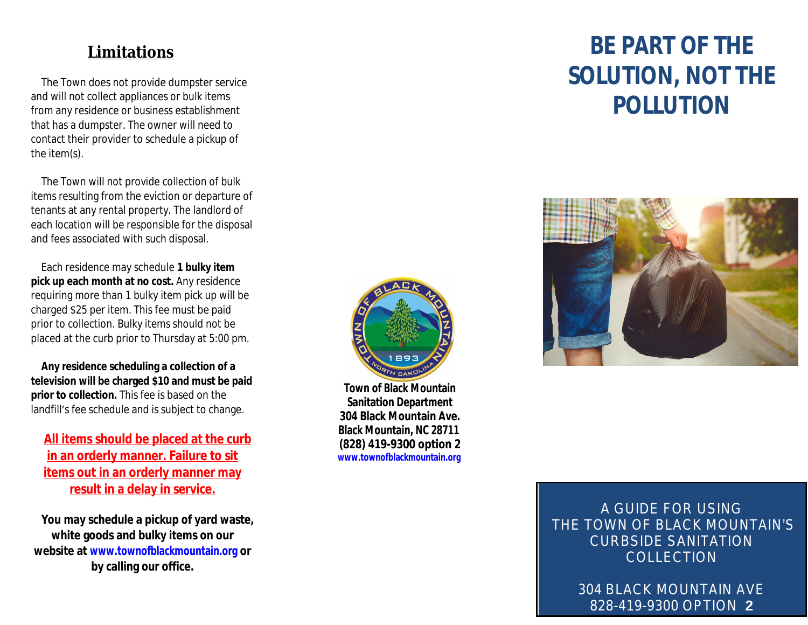## **Limitations**

The Town does not provide dumpster service and will not collect appliances or bulk items from any residence or business establishment that has a dumpster. The owner will need to contact their provider to schedule a pickup of the item(s).

The Town will not provide collection of bulk items resulting from the eviction or departure of tenants at any rental property. The landlord of each location will be responsible for the disposal and fees associated with such disposal.

Each residence may schedule **1 bulky item pick up each month at no cost.** Any residence requiring more than 1 bulky item pick up will be charged \$25 per item. This fee must be paid prior to collection. Bulky items should not be placed at the curb prior to Thursday at 5:00 pm.

**Any resid[ence scheduling a collection of a](http://www.townofblackmountain.org)  television will be charged \$10 and must be paid prior to collection.** This fee is based on the landfill's fee schedule and is subject to change.

**All items should be placed at the curb in an orderly manner. Failure to sit items out in an orderly manner may result in a delay in service.**

**You may schedule a pickup of yard waste, white goods and bulky items on our website at www.townofblackmountain.org or by calling our office.**



**Town of Black Mountain Sanitation Department 304 Black Mountain Ave. Black Mountain, NC 28711 (828) 419-9300 option 2 www.townofblackmountain.org**

# **BE SOLUT P**



 $A G$ THE TOWN CURI

> $304$  BL 828-419-9300 OPTION **2**